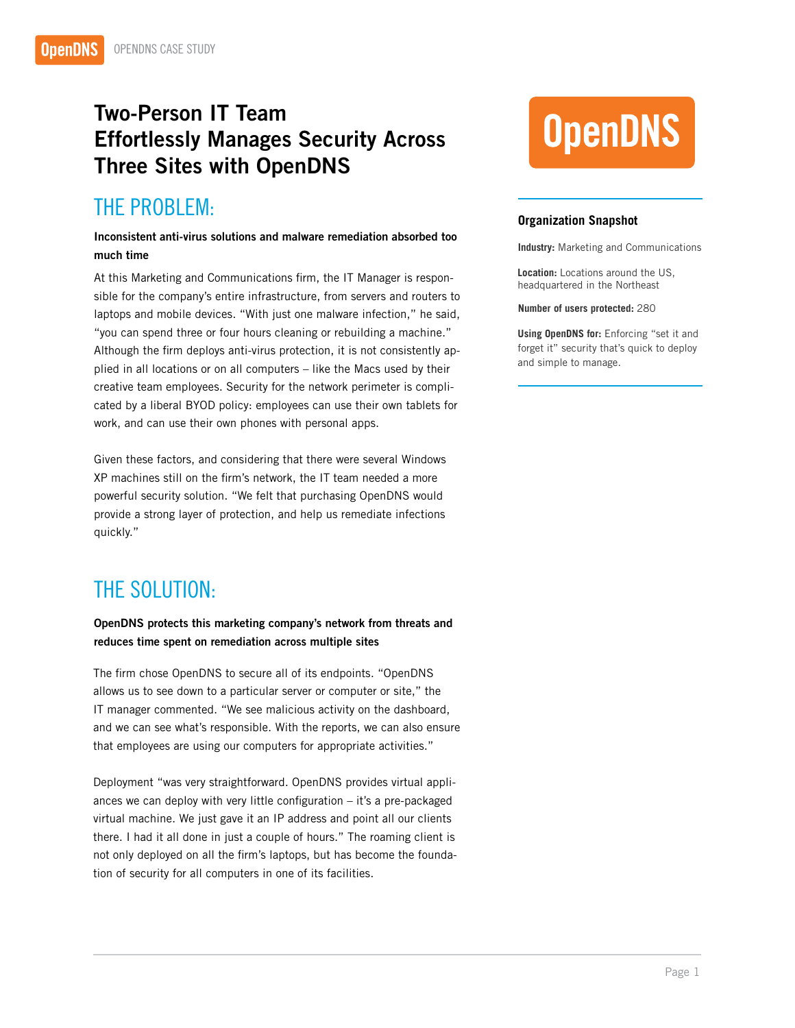## Two-Person IT Team Effortlessly Manages Security Across Three Sites with OpenDNS

## THE PROBLEM:

Inconsistent anti-virus solutions and malware remediation absorbed too much time

At this Marketing and Communications firm, the IT Manager is responsible for the company's entire infrastructure, from servers and routers to laptops and mobile devices. "With just one malware infection," he said, "you can spend three or four hours cleaning or rebuilding a machine." Although the firm deploys anti-virus protection, it is not consistently applied in all locations or on all computers – like the Macs used by their creative team employees. Security for the network perimeter is complicated by a liberal BYOD policy: employees can use their own tablets for work, and can use their own phones with personal apps.

Given these factors, and considering that there were several Windows XP machines still on the firm's network, the IT team needed a more powerful security solution. "We felt that purchasing OpenDNS would provide a strong layer of protection, and help us remediate infections quickly."

## THE SOLUTION:

OpenDNS protects this marketing company's network from threats and reduces time spent on remediation across multiple sites

The firm chose OpenDNS to secure all of its endpoints. "OpenDNS allows us to see down to a particular server or computer or site," the IT manager commented. "We see malicious activity on the dashboard, and we can see what's responsible. With the reports, we can also ensure that employees are using our computers for appropriate activities."

Deployment "was very straightforward. OpenDNS provides virtual appliances we can deploy with very little configuration – it's a pre-packaged virtual machine. We just gave it an IP address and point all our clients there. I had it all done in just a couple of hours." The roaming client is not only deployed on all the firm's laptops, but has become the foundation of security for all computers in one of its facilities.

# **OpenDNS**

### **Organization Snapshot**

**Industry:** Marketing and Communications

**Location:** Locations around the US, headquartered in the Northeast

#### **Number of users protected:** 280

**Using OpenDNS for:** Enforcing "set it and forget it" security that's quick to deploy and simple to manage.